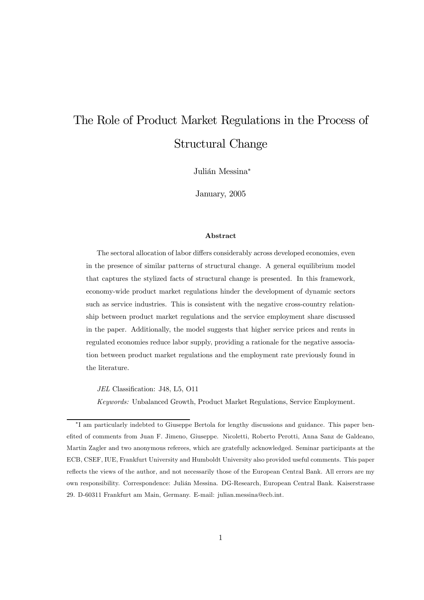# The Role of Product Market Regulations in the Process of Structural Change

Julián Messina<sup>∗</sup>

January, 2005

#### Abstract

The sectoral allocation of labor differs considerably across developed economies, even in the presence of similar patterns of structural change. A general equilibrium model that captures the stylized facts of structural change is presented. In this framework, economy-wide product market regulations hinder the development of dynamic sectors such as service industries. This is consistent with the negative cross-country relationship between product market regulations and the service employment share discussed in the paper. Additionally, the model suggests that higher service prices and rents in regulated economies reduce labor supply, providing a rationale for the negative association between product market regulations and the employment rate previously found in the literature.

JEL Classification: J48, L5, O11 Keywords: Unbalanced Growth, Product Market Regulations, Service Employment.

<sup>∗</sup>I am particularly indebted to Giuseppe Bertola for lengthy discussions and guidance. This paper benefited of comments from Juan F. Jimeno, Giuseppe. Nicoletti, Roberto Perotti, Anna Sanz de Galdeano, Martin Zagler and two anonymous referees, which are gratefully acknowledged. Seminar participants at the ECB, CSEF, IUE, Frankfurt University and Humboldt University also provided useful comments. This paper reflects the views of the author, and not necessarily those of the European Central Bank. All errors are my own responsibility. Correspondence: Julián Messina. DG-Research, European Central Bank. Kaiserstrasse 29. D-60311 Frankfurt am Main, Germany. E-mail: julian.messina@ecb.int.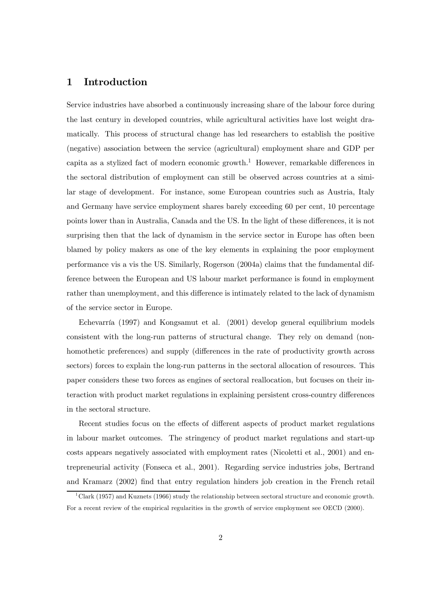# 1 Introduction

Service industries have absorbed a continuously increasing share of the labour force during the last century in developed countries, while agricultural activities have lost weight dramatically. This process of structural change has led researchers to establish the positive (negative) association between the service (agricultural) employment share and GDP per capita as a stylized fact of modern economic growth.<sup>1</sup> However, remarkable differences in the sectoral distribution of employment can still be observed across countries at a similar stage of development. For instance, some European countries such as Austria, Italy and Germany have service employment shares barely exceeding 60 per cent, 10 percentage points lower than in Australia, Canada and the US. In the light of these differences, it is not surprising then that the lack of dynamism in the service sector in Europe has often been blamed by policy makers as one of the key elements in explaining the poor employment performance vis a vis the US. Similarly, Rogerson (2004a) claims that the fundamental difference between the European and US labour market performance is found in employment rather than unemployment, and this difference is intimately related to the lack of dynamism of the service sector in Europe.

Echevarría (1997) and Kongsamut et al. (2001) develop general equilibrium models consistent with the long-run patterns of structural change. They rely on demand (nonhomothetic preferences) and supply (differences in the rate of productivity growth across sectors) forces to explain the long-run patterns in the sectoral allocation of resources. This paper considers these two forces as engines of sectoral reallocation, but focuses on their interaction with product market regulations in explaining persistent cross-country differences in the sectoral structure.

Recent studies focus on the effects of different aspects of product market regulations in labour market outcomes. The stringency of product market regulations and start-up costs appears negatively associated with employment rates (Nicoletti et al., 2001) and entrepreneurial activity (Fonseca et al., 2001). Regarding service industries jobs, Bertrand and Kramarz (2002) find that entry regulation hinders job creation in the French retail

<sup>&</sup>lt;sup>1</sup>Clark (1957) and Kuznets (1966) study the relationship between sectoral structure and economic growth. For a recent review of the empirical regularities in the growth of service employment see OECD (2000).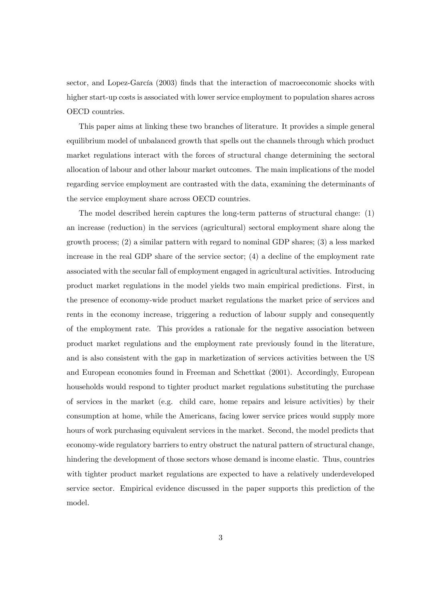sector, and Lopez-García (2003) finds that the interaction of macroeconomic shocks with higher start-up costs is associated with lower service employment to population shares across OECD countries.

This paper aims at linking these two branches of literature. It provides a simple general equilibrium model of unbalanced growth that spells out the channels through which product market regulations interact with the forces of structural change determining the sectoral allocation of labour and other labour market outcomes. The main implications of the model regarding service employment are contrasted with the data, examining the determinants of the service employment share across OECD countries.

The model described herein captures the long-term patterns of structural change: (1) an increase (reduction) in the services (agricultural) sectoral employment share along the growth process; (2) a similar pattern with regard to nominal GDP shares; (3) a less marked increase in the real GDP share of the service sector; (4) a decline of the employment rate associated with the secular fall of employment engaged in agricultural activities. Introducing product market regulations in the model yields two main empirical predictions. First, in the presence of economy-wide product market regulations the market price of services and rents in the economy increase, triggering a reduction of labour supply and consequently of the employment rate. This provides a rationale for the negative association between product market regulations and the employment rate previously found in the literature, and is also consistent with the gap in marketization of services activities between the US and European economies found in Freeman and Schettkat (2001). Accordingly, European households would respond to tighter product market regulations substituting the purchase of services in the market (e.g. child care, home repairs and leisure activities) by their consumption at home, while the Americans, facing lower service prices would supply more hours of work purchasing equivalent services in the market. Second, the model predicts that economy-wide regulatory barriers to entry obstruct the natural pattern of structural change, hindering the development of those sectors whose demand is income elastic. Thus, countries with tighter product market regulations are expected to have a relatively underdeveloped service sector. Empirical evidence discussed in the paper supports this prediction of the model.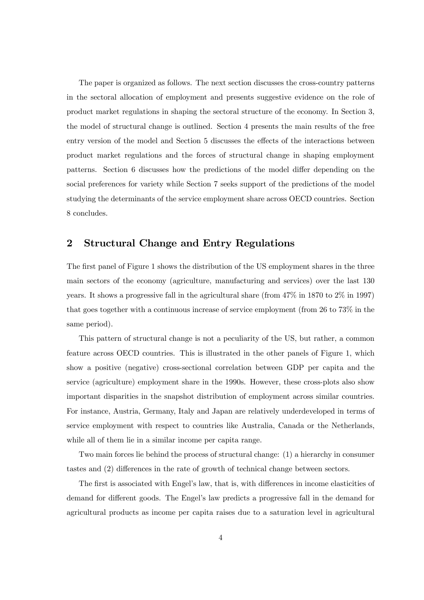The paper is organized as follows. The next section discusses the cross-country patterns in the sectoral allocation of employment and presents suggestive evidence on the role of product market regulations in shaping the sectoral structure of the economy. In Section 3, the model of structural change is outlined. Section 4 presents the main results of the free entry version of the model and Section 5 discusses the effects of the interactions between product market regulations and the forces of structural change in shaping employment patterns. Section 6 discusses how the predictions of the model differ depending on the social preferences for variety while Section 7 seeks support of the predictions of the model studying the determinants of the service employment share across OECD countries. Section 8 concludes.

# 2 Structural Change and Entry Regulations

The first panel of Figure 1 shows the distribution of the US employment shares in the three main sectors of the economy (agriculture, manufacturing and services) over the last 130 years. It shows a progressive fall in the agricultural share (from 47% in 1870 to 2% in 1997) that goes together with a continuous increase of service employment (from 26 to 73% in the same period).

This pattern of structural change is not a peculiarity of the US, but rather, a common feature across OECD countries. This is illustrated in the other panels of Figure 1, which show a positive (negative) cross-sectional correlation between GDP per capita and the service (agriculture) employment share in the 1990s. However, these cross-plots also show important disparities in the snapshot distribution of employment across similar countries. For instance, Austria, Germany, Italy and Japan are relatively underdeveloped in terms of service employment with respect to countries like Australia, Canada or the Netherlands, while all of them lie in a similar income per capita range.

Two main forces lie behind the process of structural change: (1) a hierarchy in consumer tastes and (2) differences in the rate of growth of technical change between sectors.

The first is associated with Engel's law, that is, with differences in income elasticities of demand for different goods. The Engel's law predicts a progressive fall in the demand for agricultural products as income per capita raises due to a saturation level in agricultural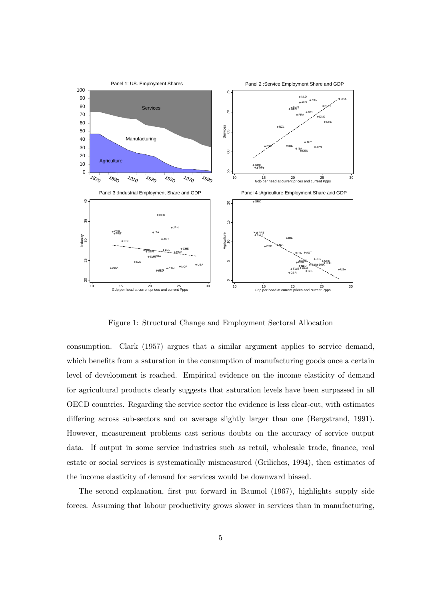

Figure 1: Structural Change and Employment Sectoral Allocation

consumption. Clark (1957) argues that a similar argument applies to service demand, which benefits from a saturation in the consumption of manufacturing goods once a certain level of development is reached. Empirical evidence on the income elasticity of demand for agricultural products clearly suggests that saturation levels have been surpassed in all OECD countries. Regarding the service sector the evidence is less clear-cut, with estimates differing across sub-sectors and on average slightly larger than one (Bergstrand, 1991). However, measurement problems cast serious doubts on the accuracy of service output data. If output in some service industries such as retail, wholesale trade, finance, real estate or social services is systematically mismeasured (Griliches, 1994), then estimates of the income elasticity of demand for services would be downward biased.

The second explanation, first put forward in Baumol (1967), highlights supply side forces. Assuming that labour productivity grows slower in services than in manufacturing,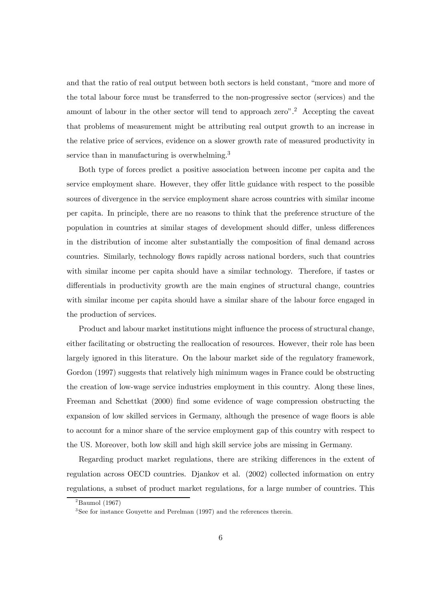and that the ratio of real output between both sectors is held constant, "more and more of the total labour force must be transferred to the non-progressive sector (services) and the amount of labour in the other sector will tend to approach zero".2 Accepting the caveat that problems of measurement might be attributing real output growth to an increase in the relative price of services, evidence on a slower growth rate of measured productivity in service than in manufacturing is overwhelming.<sup>3</sup>

Both type of forces predict a positive association between income per capita and the service employment share. However, they offer little guidance with respect to the possible sources of divergence in the service employment share across countries with similar income per capita. In principle, there are no reasons to think that the preference structure of the population in countries at similar stages of development should differ, unless differences in the distribution of income alter substantially the composition of final demand across countries. Similarly, technology flows rapidly across national borders, such that countries with similar income per capita should have a similar technology. Therefore, if tastes or differentials in productivity growth are the main engines of structural change, countries with similar income per capita should have a similar share of the labour force engaged in the production of services.

Product and labour market institutions might influence the process of structural change, either facilitating or obstructing the reallocation of resources. However, their role has been largely ignored in this literature. On the labour market side of the regulatory framework, Gordon (1997) suggests that relatively high minimum wages in France could be obstructing the creation of low-wage service industries employment in this country. Along these lines, Freeman and Schettkat (2000) find some evidence of wage compression obstructing the expansion of low skilled services in Germany, although the presence of wage floors is able to account for a minor share of the service employment gap of this country with respect to the US. Moreover, both low skill and high skill service jobs are missing in Germany.

Regarding product market regulations, there are striking differences in the extent of regulation across OECD countries. Djankov et al. (2002) collected information on entry regulations, a subset of product market regulations, for a large number of countries. This

 ${}^{2}$ Baumol (1967)

<sup>&</sup>lt;sup>3</sup>See for instance Gouyette and Perelman (1997) and the references therein.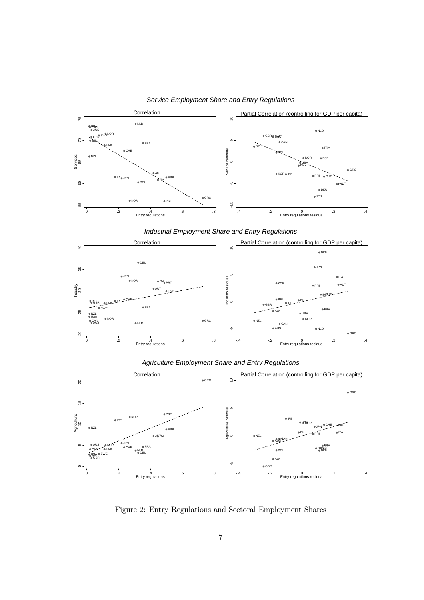

*Service Employment Share and Entry Regulations*

*Agriculture Employment Share and Entry Regulations*



Figure 2: Entry Regulations and Sectoral Employment Shares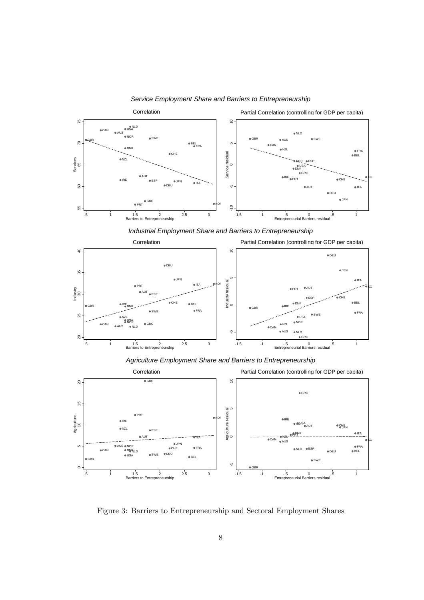

#### *Service Employment Share and Barriers to Entrepreneurship*

Figure 3: Barriers to Entrepreneurship and Sectoral Employment Shares

-1.5 -1 -5<br>Entrepreneurial Barriers

 $\frac{1}{5}$  1  $\frac{1}{1.5}$  2  $\frac{1}{2.5}$  3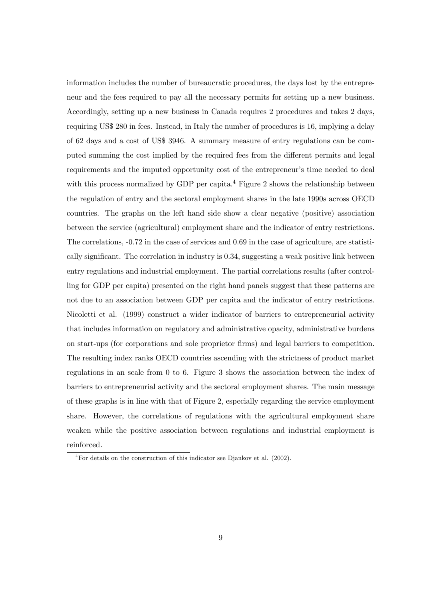information includes the number of bureaucratic procedures, the days lost by the entrepreneur and the fees required to pay all the necessary permits for setting up a new business. Accordingly, setting up a new business in Canada requires 2 procedures and takes 2 days, requiring US\$ 280 in fees. Instead, in Italy the number of procedures is 16, implying a delay of 62 days and a cost of US\$ 3946. A summary measure of entry regulations can be computed summing the cost implied by the required fees from the different permits and legal requirements and the imputed opportunity cost of the entrepreneur's time needed to deal with this process normalized by GDP per capita.<sup>4</sup> Figure 2 shows the relationship between the regulation of entry and the sectoral employment shares in the late 1990s across OECD countries. The graphs on the left hand side show a clear negative (positive) association between the service (agricultural) employment share and the indicator of entry restrictions. The correlations, -0.72 in the case of services and 0.69 in the case of agriculture, are statistically significant. The correlation in industry is 0.34, suggesting a weak positive link between entry regulations and industrial employment. The partial correlations results (after controlling for GDP per capita) presented on the right hand panels suggest that these patterns are not due to an association between GDP per capita and the indicator of entry restrictions. Nicoletti et al. (1999) construct a wider indicator of barriers to entrepreneurial activity that includes information on regulatory and administrative opacity, administrative burdens on start-ups (for corporations and sole proprietor firms) and legal barriers to competition. The resulting index ranks OECD countries ascending with the strictness of product market regulations in an scale from 0 to 6. Figure 3 shows the association between the index of barriers to entrepreneurial activity and the sectoral employment shares. The main message of these graphs is in line with that of Figure 2, especially regarding the service employment share. However, the correlations of regulations with the agricultural employment share weaken while the positive association between regulations and industrial employment is reinforced.

<sup>4</sup>For details on the construction of this indicator see Djankov et al. (2002).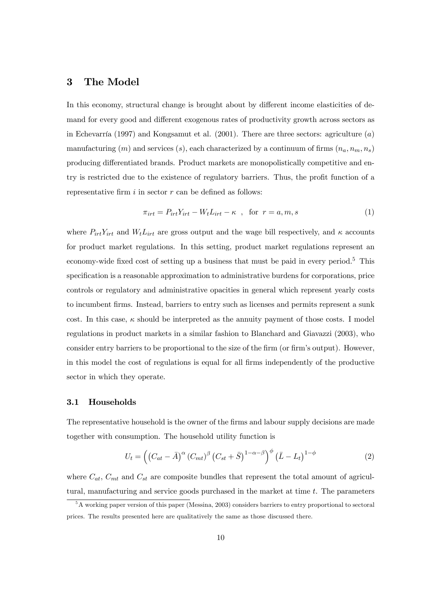# 3 The Model

In this economy, structural change is brought about by different income elasticities of demand for every good and different exogenous rates of productivity growth across sectors as in Echevarría (1997) and Kongsamut et al.  $(2001)$ . There are three sectors: agriculture  $(a)$ manufacturing  $(m)$  and services  $(s)$ , each characterized by a continuum of firms  $(n_a, n_m, n_s)$ producing differentiated brands. Product markets are monopolistically competitive and entry is restricted due to the existence of regulatory barriers. Thus, the profit function of a representative firm  $i$  in sector  $r$  can be defined as follows:

$$
\pi_{irt} = P_{irt} Y_{irt} - W_t L_{irt} - \kappa \quad , \quad \text{for} \quad r = a, m, s \tag{1}
$$

where  $P_{irt}Y_{irt}$  and  $W_tL_{irt}$  are gross output and the wage bill respectively, and  $\kappa$  accounts for product market regulations. In this setting, product market regulations represent an economy-wide fixed cost of setting up a business that must be paid in every period.<sup>5</sup> This specification is a reasonable approximation to administrative burdens for corporations, price controls or regulatory and administrative opacities in general which represent yearly costs to incumbent firms. Instead, barriers to entry such as licenses and permits represent a sunk cost. In this case,  $\kappa$  should be interpreted as the annuity payment of those costs. I model regulations in product markets in a similar fashion to Blanchard and Giavazzi (2003), who consider entry barriers to be proportional to the size of the firm (or firm's output). However, in this model the cost of regulations is equal for all firms independently of the productive sector in which they operate.

#### 3.1 Households

The representative household is the owner of the firms and labour supply decisions are made together with consumption. The household utility function is

$$
U_t = \left( \left( C_{at} - \bar{A} \right)^{\alpha} \left( C_{mt} \right)^{\beta} \left( C_{st} + \bar{S} \right)^{1 - \alpha - \beta} \right)^{\phi} \left( \bar{L} - L_t \right)^{1 - \phi} \tag{2}
$$

where  $C_{at}$ ,  $C_{mt}$  and  $C_{st}$  are composite bundles that represent the total amount of agricultural, manufacturing and service goods purchased in the market at time  $t$ . The parameters

<sup>5</sup>A working paper version of this paper (Messina, 2003) considers barriers to entry proportional to sectoral prices. The results presented here are qualitatively the same as those discussed there.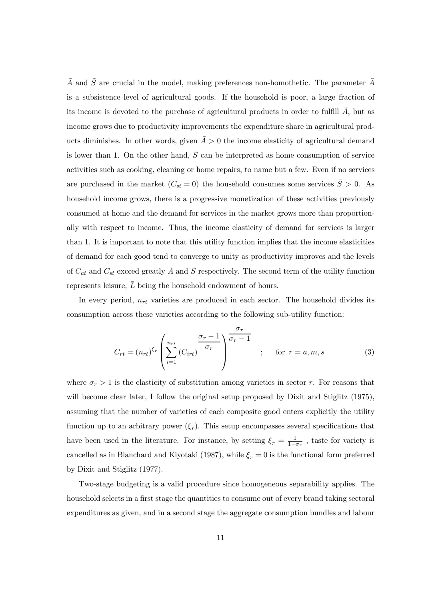$\bar{A}$  and  $\bar{S}$  are crucial in the model, making preferences non-homothetic. The parameter  $\bar{A}$ is a subsistence level of agricultural goods. If the household is poor, a large fraction of its income is devoted to the purchase of agricultural products in order to fulfill  $A$ , but as income grows due to productivity improvements the expenditure share in agricultural products diminishes. In other words, given  $\overline{A} > 0$  the income elasticity of agricultural demand is lower than 1. On the other hand,  $\overline{S}$  can be interpreted as home consumption of service activities such as cooking, cleaning or home repairs, to name but a few. Even if no services are purchased in the market  $(C_{st} = 0)$  the household consumes some services  $\bar{S} > 0$ . As household income grows, there is a progressive monetization of these activities previously consumed at home and the demand for services in the market grows more than proportionally with respect to income. Thus, the income elasticity of demand for services is larger than 1. It is important to note that this utility function implies that the income elasticities of demand for each good tend to converge to unity as productivity improves and the levels of  $C_{at}$  and  $C_{st}$  exceed greatly  $\bar{A}$  and  $\bar{S}$  respectively. The second term of the utility function represents leisure,  $\overline{L}$  being the household endowment of hours.

In every period,  $n_{rt}$  varieties are produced in each sector. The household divides its consumption across these varieties according to the following sub-utility function:

$$
C_{rt} = (n_{rt})^{\xi_r} \left( \sum_{i=1}^{n_{rt}} \left( C_{irt} \right)^{\frac{\sigma_r - 1}{\sigma_r}} \right)^{\frac{\sigma_r}{\sigma_r - 1}} \quad ; \quad \text{for } r = a, m, s \tag{3}
$$

where  $\sigma_r > 1$  is the elasticity of substitution among varieties in sector r. For reasons that will become clear later, I follow the original setup proposed by Dixit and Stiglitz (1975), assuming that the number of varieties of each composite good enters explicitly the utility function up to an arbitrary power  $(\xi_r)$ . This setup encompasses several specifications that have been used in the literature. For instance, by setting  $\xi_r = \frac{1}{1-\sigma_r}$ , taste for variety is cancelled as in Blanchard and Kiyotaki (1987), while  $\xi_r = 0$  is the functional form preferred by Dixit and Stiglitz (1977).

Two-stage budgeting is a valid procedure since homogeneous separability applies. The household selects in a first stage the quantities to consume out of every brand taking sectoral expenditures as given, and in a second stage the aggregate consumption bundles and labour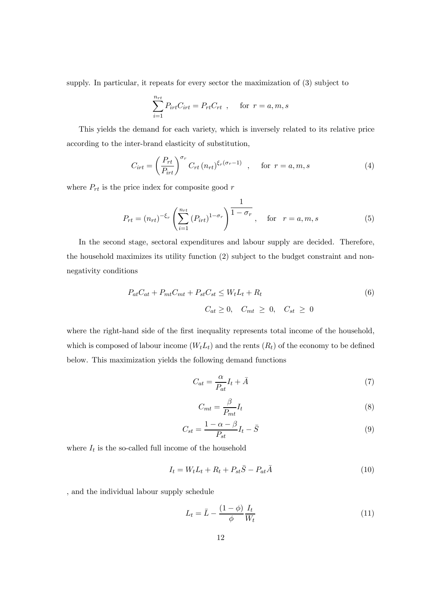supply. In particular, it repeats for every sector the maximization of (3) subject to

$$
\sum_{i=1}^{n_{rt}} P_{irt} C_{irt} = P_{rt} C_{rt} , \quad \text{for } r = a, m, s
$$

This yields the demand for each variety, which is inversely related to its relative price according to the inter-brand elasticity of substitution,

$$
C_{irt} = \left(\frac{P_{rt}}{P_{irt}}\right)^{\sigma_r} C_{rt} \left(n_{rt}\right)^{\xi_r(\sigma_r - 1)}, \quad \text{for } r = a, m, s \tag{4}
$$

where  $P_{rt}$  is the price index for composite good  $r$ 

$$
P_{rt} = (n_{rt})^{-\xi_r} \left( \sum_{i=1}^{n_{rt}} (P_{irt})^{1-\sigma_r} \right)^{\frac{1}{1-\sigma_r}}, \quad \text{for} \quad r = a, m, s
$$
 (5)

In the second stage, sectoral expenditures and labour supply are decided. Therefore, the household maximizes its utility function (2) subject to the budget constraint and nonnegativity conditions

$$
P_{at}C_{at} + P_{mt}C_{mt} + P_{st}C_{st} \le W_t L_t + R_t
$$
  
\n
$$
C_{at} \ge 0, \quad C_{mt} \ge 0, \quad C_{st} \ge 0
$$
\n
$$
(6)
$$

where the right-hand side of the first inequality represents total income of the household, which is composed of labour income  $(W_t L_t)$  and the rents  $(R_t)$  of the economy to be defined below. This maximization yields the following demand functions

$$
C_{at} = \frac{\alpha}{P_{at}} I_t + \bar{A}
$$
\n<sup>(7)</sup>

$$
C_{mt} = \frac{\beta}{P_{mt}} I_t \tag{8}
$$

$$
C_{st} = \frac{1 - \alpha - \beta}{P_{st}} I_t - \bar{S}
$$
\n(9)

where  $I_t$  is the so-called full income of the household

$$
I_t = W_t L_t + R_t + P_{st} \overline{S} - P_{at} \overline{A}
$$
\n
$$
(10)
$$

, and the individual labour supply schedule

$$
L_t = \bar{L} - \frac{(1 - \phi)}{\phi} \frac{I_t}{W_t} \tag{11}
$$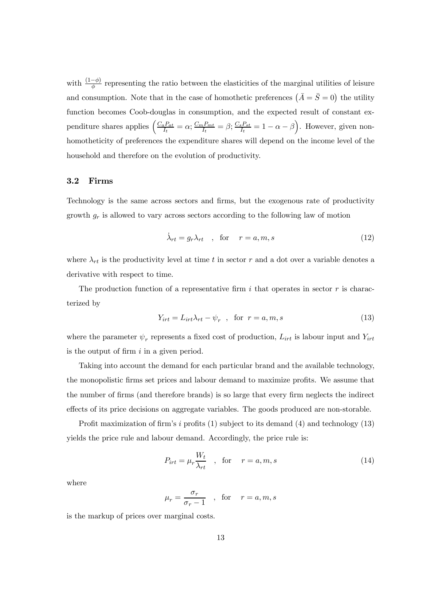with  $\frac{(1-\phi)}{\phi}$  representing the ratio between the elasticities of the marginal utilities of leisure and consumption. Note that in the case of homothetic preferences  $({\overline{A}} = {\overline{S}} = 0)$  the utility function becomes Coob-douglas in consumption, and the expected result of constant expenditure shares applies  $\left(\frac{C_a P_{at}}{I_t} = \alpha; \frac{C_m P_{mt}}{I_t} = \beta; \frac{C_s P_{st}}{I_t} = 1 - \alpha - \beta\right)$ . However, given nonhomotheticity of preferences the expenditure shares will depend on the income level of the household and therefore on the evolution of productivity.

#### 3.2 Firms

Technology is the same across sectors and firms, but the exogenous rate of productivity growth  $g_r$  is allowed to vary across sectors according to the following law of motion

$$
\dot{\lambda}_{rt} = g_r \lambda_{rt} \quad , \text{ for } \quad r = a, m, s \tag{12}
$$

where  $\lambda_{rt}$  is the productivity level at time t in sector r and a dot over a variable denotes a derivative with respect to time.

The production function of a representative firm  $i$  that operates in sector  $r$  is characterized by

$$
Y_{irt} = L_{irt} \lambda_{rt} - \psi_r \quad , \quad \text{for} \quad r = a, m, s \tag{13}
$$

where the parameter  $\psi_r$  represents a fixed cost of production,  $L_{irt}$  is labour input and  $Y_{irt}$ is the output of firm  $i$  in a given period.

Taking into account the demand for each particular brand and the available technology, the monopolistic firms set prices and labour demand to maximize profits. We assume that the number of firms (and therefore brands) is so large that every firm neglects the indirect effects of its price decisions on aggregate variables. The goods produced are non-storable.

Profit maximization of firm's  $i$  profits  $(1)$  subject to its demand  $(4)$  and technology  $(13)$ yields the price rule and labour demand. Accordingly, the price rule is:

$$
P_{irt} = \mu_r \frac{W_t}{\lambda_{rt}} \quad , \quad \text{for} \quad r = a, m, s \tag{14}
$$

where

$$
\mu_r = \frac{\sigma_r}{\sigma_r - 1} \quad , \text{ for } \quad r = a, m, s
$$

is the markup of prices over marginal costs.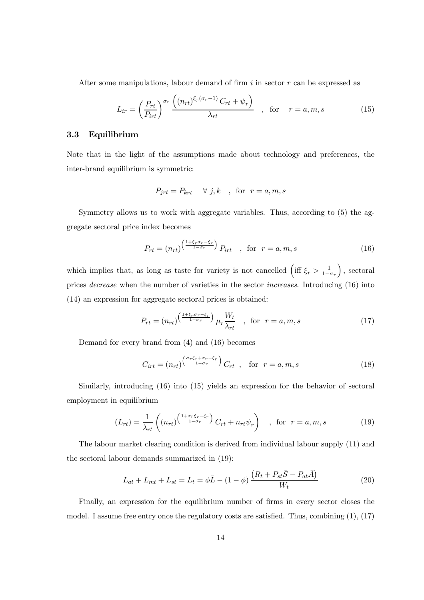After some manipulations, labour demand of firm  $i$  in sector  $r$  can be expressed as

$$
L_{ir} = \left(\frac{P_{rt}}{P_{irt}}\right)^{\sigma_r} \frac{\left((n_{rt})^{\xi_r(\sigma_r - 1)} C_{rt} + \psi_r\right)}{\lambda_{rt}}, \text{ for } r = a, m, s \qquad (15)
$$

#### 3.3 Equilibrium

Note that in the light of the assumptions made about technology and preferences, the inter-brand equilibrium is symmetric:

$$
P_{jrt} = P_{krt} \quad \forall j, k \quad , \text{ for } r = a, m, s
$$

Symmetry allows us to work with aggregate variables. Thus, according to (5) the aggregate sectoral price index becomes

$$
P_{rt} = (n_{rt})^{\left(\frac{1+\xi_r \sigma_r - \xi_r}{1-\sigma_r}\right)} P_{irt} \quad , \text{ for } r = a, m, s \tag{16}
$$

which implies that, as long as taste for variety is not cancelled  $\left(\text{iff } \xi_r > \frac{1}{1-\sigma_r}\right)$ ), sectoral prices decrease when the number of varieties in the sector increases. Introducing (16) into (14) an expression for aggregate sectoral prices is obtained:

$$
P_{rt} = (n_{rt})^{\left(\frac{1+\xi_r \sigma_r - \xi_r}{1-\sigma_r}\right)} \mu_r \frac{W_t}{\lambda_{rt}} \quad , \text{ for } r = a, m, s \tag{17}
$$

Demand for every brand from (4) and (16) becomes

$$
C_{irt} = (n_{rt})^{\left(\frac{\sigma_r \xi_r + \sigma_r - \xi_r}{1 - \sigma_r}\right)} C_{rt} , \quad \text{for } r = a, m, s
$$
 (18)

Similarly, introducing (16) into (15) yields an expression for the behavior of sectoral employment in equilibrium

$$
(L_{rt}) = \frac{1}{\lambda_{rt}} \left( (n_{rt})^{\left( \frac{1 + \sigma_r \xi_r - \xi_r}{1 - \sigma_r} \right)} C_{rt} + n_{rt} \psi_r \right) \quad , \text{ for } r = a, m, s \tag{19}
$$

The labour market clearing condition is derived from individual labour supply (11) and the sectoral labour demands summarized in (19):

$$
L_{at} + L_{mt} + L_{st} = L_t = \phi \bar{L} - (1 - \phi) \frac{(R_t + P_{st}\bar{S} - P_{at}\bar{A})}{W_t}
$$
(20)

Finally, an expression for the equilibrium number of firms in every sector closes the model. I assume free entry once the regulatory costs are satisfied. Thus, combining (1), (17)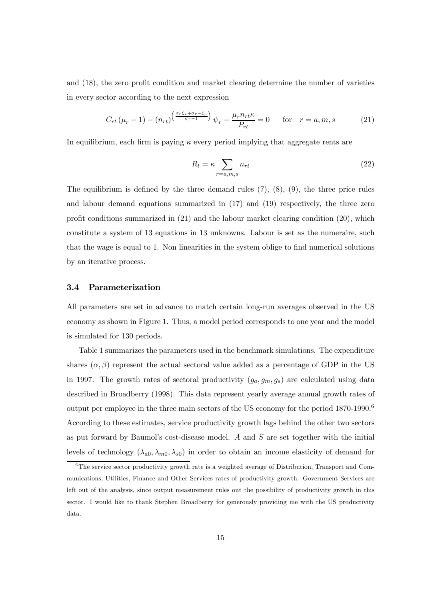and (18), the zero profit condition and market clearing determine the number of varieties in every sector according to the next expression

$$
C_{rt} \left(\mu_r - 1\right) - \left(n_{rt}\right)^{\left(\frac{\sigma_r \xi_r + \sigma_r - \xi_r}{\sigma_r - 1}\right)} \psi_r - \frac{\mu_r n_{rt} \kappa}{P_{rt}} = 0 \quad \text{for} \quad r = a, m, s \tag{21}
$$

In equilibrium, each firm is paying  $\kappa$  every period implying that aggregate rents are

$$
R_t = \kappa \sum_{r=a,m,s} n_{rt} \tag{22}
$$

The equilibrium is defined by the three demand rules  $(7)$ ,  $(8)$ ,  $(9)$ , the three price rules and labour demand equations summarized in (17) and (19) respectively, the three zero profit conditions summarized in (21) and the labour market clearing condition (20), which constitute a system of 13 equations in 13 unknowns. Labour is set as the numeraire, such that the wage is equal to 1. Non linearities in the system oblige to find numerical solutions by an iterative process.

#### 3.4 Parameterization

All parameters are set in advance to match certain long-run averages observed in the US economy as shown in Figure 1. Thus, a model period corresponds to one year and the model is simulated for 130 periods.

Table 1 summarizes the parameters used in the benchmark simulations. The expenditure shares  $(\alpha, \beta)$  represent the actual sectoral value added as a percentage of GDP in the US in 1997. The growth rates of sectoral productivity  $(g_a, g_m, g_s)$  are calculated using data described in Broadberry (1998). This data represent yearly average annual growth rates of output per employee in the three main sectors of the US economy for the period 1870-1990.6 According to these estimates, service productivity growth lags behind the other two sectors as put forward by Baumol's cost-disease model.  $\overline{A}$  and  $\overline{S}$  are set together with the initial levels of technology  $(\lambda_{a0}, \lambda_{m0}, \lambda_{s0})$  in order to obtain an income elasticity of demand for

<sup>&</sup>lt;sup>6</sup>The service sector productivity growth rate is a weighted average of Distribution, Transport and Communications, Utilities, Finance and Other Services rates of productivity growth. Government Services are left out of the analysis, since output measurement rules out the possibility of productivity growth in this sector. I would like to thank Stephen Broadberry for generously providing me with the US productivity data.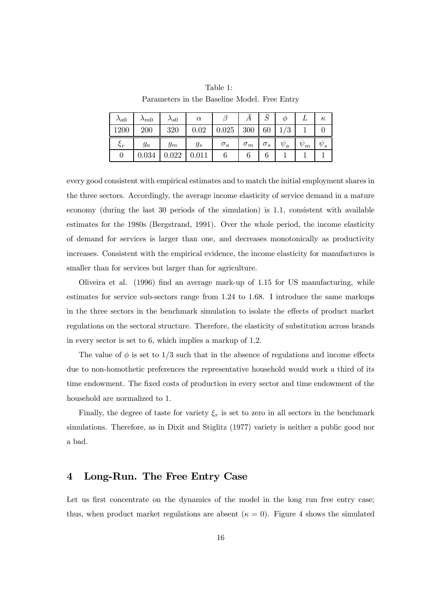| $\lambda_{a0}$ | $\lambda_{m0}$ | $\lambda_{s0}$ | $\alpha$ |            |            |            | $\omega$ |          | $\kappa$ |
|----------------|----------------|----------------|----------|------------|------------|------------|----------|----------|----------|
| 1200           | 200            | 320            | 0.02     | 0.025      | 300        | 60         | ′3       |          |          |
| $\mathbf{r}$   | $g_a$          | $g_m$          | $g_s$    | $\sigma_a$ | $\sigma_m$ | $\sigma_s$ | $\psi_a$ | $\psi_m$ | $\psi_s$ |
|                | 0.034          | 0.022          | 0.011    |            |            |            |          |          |          |

Table 1: Parameters in the Baseline Model. Free Entry

every good consistent with empirical estimates and to match the initial employment shares in the three sectors. Accordingly, the average income elasticity of service demand in a mature economy (during the last 30 periods of the simulation) is 1.1, consistent with available estimates for the 1980s (Bergstrand, 1991). Over the whole period, the income elasticity of demand for services is larger than one, and decreases monotonically as productivity increases. Consistent with the empirical evidence, the income elasticity for manufactures is smaller than for services but larger than for agriculture.

Oliveira et al. (1996) find an average mark-up of 1.15 for US manufacturing, while estimates for service sub-sectors range from 1.24 to 1.68. I introduce the same markups in the three sectors in the benchmark simulation to isolate the effects of product market regulations on the sectoral structure. Therefore, the elasticity of substitution across brands in every sector is set to 6, which implies a markup of 1.2.

The value of  $\phi$  is set to 1/3 such that in the absence of regulations and income effects due to non-homothetic preferences the representative household would work a third of its time endowment. The fixed costs of production in every sector and time endowment of the household are normalized to 1.

Finally, the degree of taste for variety  $\xi_r$  is set to zero in all sectors in the benchmark simulations. Therefore, as in Dixit and Stiglitz (1977) variety is neither a public good nor a bad.

# 4 Long-Run. The Free Entry Case

Let us first concentrate on the dynamics of the model in the long run free entry case; thus, when product market regulations are absent  $(\kappa = 0)$ . Figure 4 shows the simulated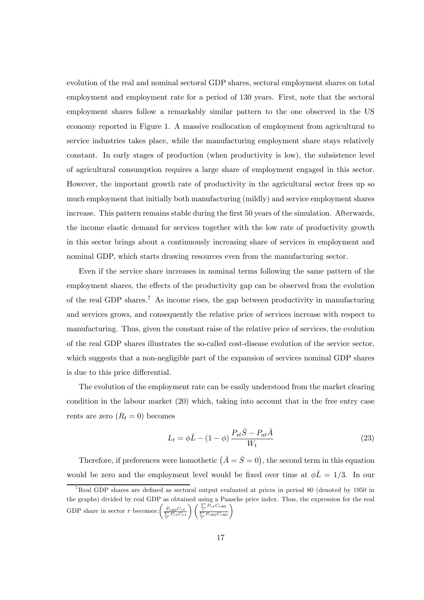evolution of the real and nominal sectoral GDP shares, sectoral employment shares on total employment and employment rate for a period of 130 years. First, note that the sectoral employment shares follow a remarkably similar pattern to the one observed in the US economy reported in Figure 1. A massive reallocation of employment from agricultural to service industries takes place, while the manufacturing employment share stays relatively constant. In early stages of production (when productivity is low), the subsistence level of agricultural consumption requires a large share of employment engaged in this sector. However, the important growth rate of productivity in the agricultural sector frees up so much employment that initially both manufacturing (mildly) and service employment shares increase. This pattern remains stable during the first 50 years of the simulation. Afterwards, the income elastic demand for services together with the low rate of productivity growth in this sector brings about a continuously increasing share of services in employment and nominal GDP, which starts drawing resources even from the manufacturing sector.

Even if the service share increases in nominal terms following the same pattern of the employment shares, the effects of the productivity gap can be observed from the evolution of the real GDP shares.<sup>7</sup> As income rises, the gap between productivity in manufacturing and services grows, and consequently the relative price of services increase with respect to manufacturing. Thus, given the constant raise of the relative price of services, the evolution of the real GDP shares illustrates the so-called cost-disease evolution of the service sector, which suggests that a non-negligible part of the expansion of services nominal GDP shares is due to this price differential.

The evolution of the employment rate can be easily understood from the market clearing condition in the labour market (20) which, taking into account that in the free entry case rents are zero  $(R_t = 0)$  becomes

$$
L_t = \phi \bar{L} - (1 - \phi) \frac{P_{st} \bar{S} - P_{at} \bar{A}}{W_t}
$$
\n(23)

Therefore, if preferences were homothetic  $(\bar{A} = \bar{S} = 0)$ , the second term in this equation would be zero and the employment level would be fixed over time at  $\phi L = 1/3$ . In our

<sup>7</sup>Real GDP shares are defined as sectoral output evaluated at prices in period 80 (denoted by 1950 in the graphs) divided by real GDP as obtained using a Paasche price index. Thus, the expression for the real GDP share in sector r becomes:  $\left(\frac{P_{r80}C_{rt}}{\sum_{r}P_{rt}C_{rt}}\right)\left(\frac{\sum_{r}P_{rt}C_{r80}}{\sum_{r}P_{r80}C_{r80}}\right)$  $\frac{\sum\limits_{r} Prt\,C_{r80}}{\sum\limits_{r} Pr_{80}C_{r80}}\Bigg)$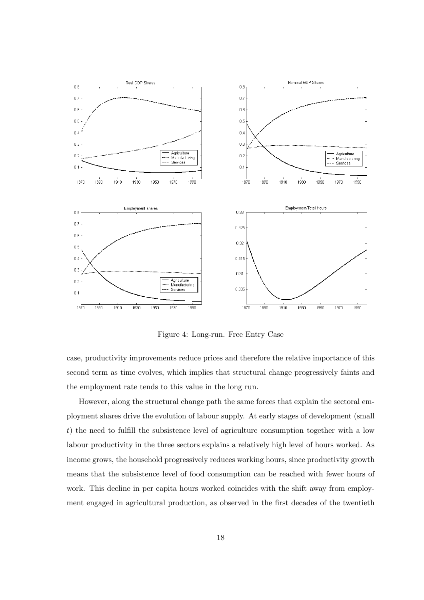

Figure 4: Long-run. Free Entry Case

case, productivity improvements reduce prices and therefore the relative importance of this second term as time evolves, which implies that structural change progressively faints and the employment rate tends to this value in the long run.

However, along the structural change path the same forces that explain the sectoral employment shares drive the evolution of labour supply. At early stages of development (small t) the need to fulfill the subsistence level of agriculture consumption together with a low labour productivity in the three sectors explains a relatively high level of hours worked. As income grows, the household progressively reduces working hours, since productivity growth means that the subsistence level of food consumption can be reached with fewer hours of work. This decline in per capita hours worked coincides with the shift away from employment engaged in agricultural production, as observed in the first decades of the twentieth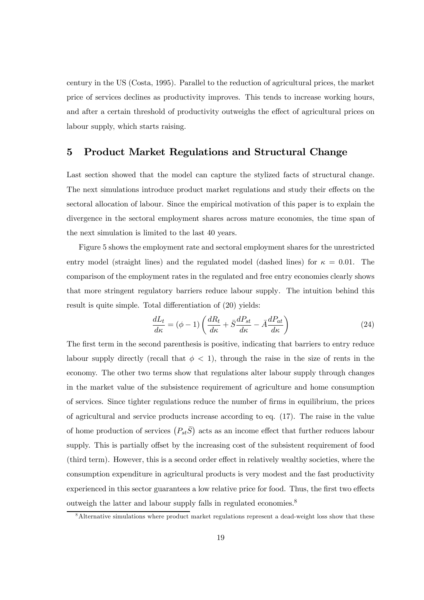century in the US (Costa, 1995). Parallel to the reduction of agricultural prices, the market price of services declines as productivity improves. This tends to increase working hours, and after a certain threshold of productivity outweighs the effect of agricultural prices on labour supply, which starts raising.

# 5 Product Market Regulations and Structural Change

Last section showed that the model can capture the stylized facts of structural change. The next simulations introduce product market regulations and study their effects on the sectoral allocation of labour. Since the empirical motivation of this paper is to explain the divergence in the sectoral employment shares across mature economies, the time span of the next simulation is limited to the last 40 years.

Figure 5 shows the employment rate and sectoral employment shares for the unrestricted entry model (straight lines) and the regulated model (dashed lines) for  $\kappa = 0.01$ . The comparison of the employment rates in the regulated and free entry economies clearly shows that more stringent regulatory barriers reduce labour supply. The intuition behind this result is quite simple. Total differentiation of (20) yields:

$$
\frac{dL_t}{d\kappa} = (\phi - 1) \left( \frac{dR_t}{d\kappa} + \bar{S} \frac{dP_{st}}{d\kappa} - \bar{A} \frac{dP_{at}}{d\kappa} \right)
$$
\n(24)

The first term in the second parenthesis is positive, indicating that barriers to entry reduce labour supply directly (recall that  $\phi < 1$ ), through the raise in the size of rents in the economy. The other two terms show that regulations alter labour supply through changes in the market value of the subsistence requirement of agriculture and home consumption of services. Since tighter regulations reduce the number of firms in equilibrium, the prices of agricultural and service products increase according to eq. (17). The raise in the value of home production of services  $(P_{st}\overline{S})$  acts as an income effect that further reduces labour supply. This is partially offset by the increasing cost of the subsistent requirement of food (third term). However, this is a second order effect in relatively wealthy societies, where the consumption expenditure in agricultural products is very modest and the fast productivity experienced in this sector guarantees a low relative price for food. Thus, the first two effects outweigh the latter and labour supply falls in regulated economies.8

<sup>&</sup>lt;sup>8</sup>Alternative simulations where product market regulations represent a dead-weight loss show that these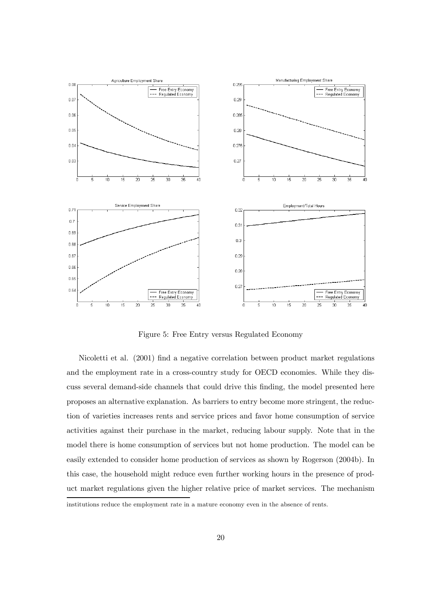

Figure 5: Free Entry versus Regulated Economy

Nicoletti et al. (2001) find a negative correlation between product market regulations and the employment rate in a cross-country study for OECD economies. While they discuss several demand-side channels that could drive this finding, the model presented here proposes an alternative explanation. As barriers to entry become more stringent, the reduction of varieties increases rents and service prices and favor home consumption of service activities against their purchase in the market, reducing labour supply. Note that in the model there is home consumption of services but not home production. The model can be easily extended to consider home production of services as shown by Rogerson (2004b). In this case, the household might reduce even further working hours in the presence of product market regulations given the higher relative price of market services. The mechanism

institutions reduce the employment rate in a mature economy even in the absence of rents.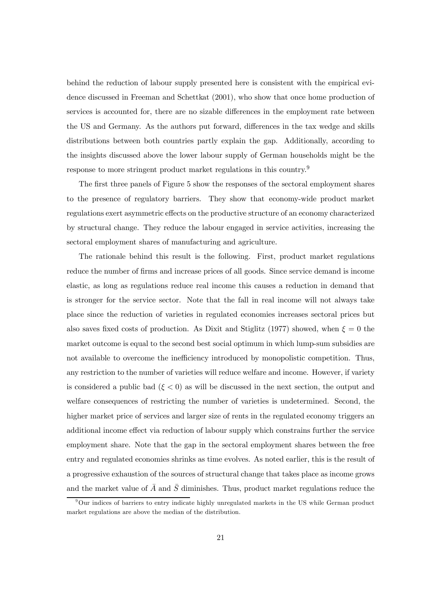behind the reduction of labour supply presented here is consistent with the empirical evidence discussed in Freeman and Schettkat (2001), who show that once home production of services is accounted for, there are no sizable differences in the employment rate between the US and Germany. As the authors put forward, differences in the tax wedge and skills distributions between both countries partly explain the gap. Additionally, according to the insights discussed above the lower labour supply of German households might be the response to more stringent product market regulations in this country.<sup>9</sup>

The first three panels of Figure 5 show the responses of the sectoral employment shares to the presence of regulatory barriers. They show that economy-wide product market regulations exert asymmetric effects on the productive structure of an economy characterized by structural change. They reduce the labour engaged in service activities, increasing the sectoral employment shares of manufacturing and agriculture.

The rationale behind this result is the following. First, product market regulations reduce the number of firms and increase prices of all goods. Since service demand is income elastic, as long as regulations reduce real income this causes a reduction in demand that is stronger for the service sector. Note that the fall in real income will not always take place since the reduction of varieties in regulated economies increases sectoral prices but also saves fixed costs of production. As Dixit and Stiglitz (1977) showed, when  $\xi = 0$  the market outcome is equal to the second best social optimum in which lump-sum subsidies are not available to overcome the inefficiency introduced by monopolistic competition. Thus, any restriction to the number of varieties will reduce welfare and income. However, if variety is considered a public bad  $(\xi < 0)$  as will be discussed in the next section, the output and welfare consequences of restricting the number of varieties is undetermined. Second, the higher market price of services and larger size of rents in the regulated economy triggers an additional income effect via reduction of labour supply which constrains further the service employment share. Note that the gap in the sectoral employment shares between the free entry and regulated economies shrinks as time evolves. As noted earlier, this is the result of a progressive exhaustion of the sources of structural change that takes place as income grows and the market value of  $\overline{A}$  and  $\overline{S}$  diminishes. Thus, product market regulations reduce the

<sup>&</sup>lt;sup>9</sup>Our indices of barriers to entry indicate highly unregulated markets in the US while German product market regulations are above the median of the distribution.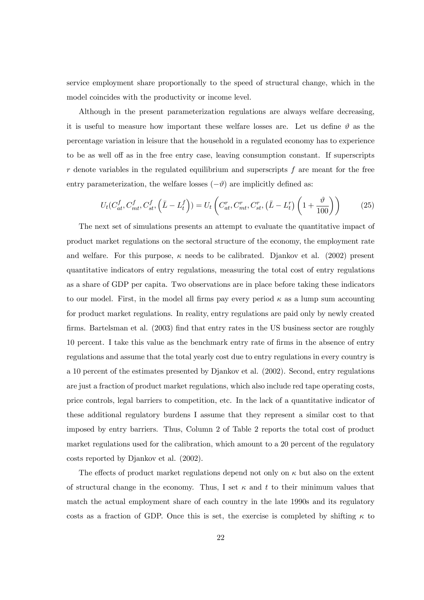service employment share proportionally to the speed of structural change, which in the model coincides with the productivity or income level.

Although in the present parameterization regulations are always welfare decreasing, it is useful to measure how important these welfare losses are. Let us define  $\vartheta$  as the percentage variation in leisure that the household in a regulated economy has to experience to be as well off as in the free entry case, leaving consumption constant. If superscripts r denote variables in the regulated equilibrium and superscripts f are meant for the free entry parameterization, the welfare losses  $(-\theta)$  are implicitly defined as:

$$
U_t(C_{at}^f, C_{mt}^f, C_{st}^f, \left(\bar{L} - L_t^f\right)) = U_t\left(C_{at}^r, C_{mt}^r, C_{st}^r, \left(\bar{L} - L_t^r\right)\left(1 + \frac{\vartheta}{100}\right)\right) \tag{25}
$$

The next set of simulations presents an attempt to evaluate the quantitative impact of product market regulations on the sectoral structure of the economy, the employment rate and welfare. For this purpose,  $\kappa$  needs to be calibrated. Diankov et al. (2002) present quantitative indicators of entry regulations, measuring the total cost of entry regulations as a share of GDP per capita. Two observations are in place before taking these indicators to our model. First, in the model all firms pay every period  $\kappa$  as a lump sum accounting for product market regulations. In reality, entry regulations are paid only by newly created firms. Bartelsman et al. (2003) find that entry rates in the US business sector are roughly 10 percent. I take this value as the benchmark entry rate of firms in the absence of entry regulations and assume that the total yearly cost due to entry regulations in every country is a 10 percent of the estimates presented by Djankov et al. (2002). Second, entry regulations are just a fraction of product market regulations, which also include red tape operating costs, price controls, legal barriers to competition, etc. In the lack of a quantitative indicator of these additional regulatory burdens I assume that they represent a similar cost to that imposed by entry barriers. Thus, Column 2 of Table 2 reports the total cost of product market regulations used for the calibration, which amount to a 20 percent of the regulatory costs reported by Djankov et al. (2002).

The effects of product market regulations depend not only on  $\kappa$  but also on the extent of structural change in the economy. Thus, I set  $\kappa$  and t to their minimum values that match the actual employment share of each country in the late 1990s and its regulatory costs as a fraction of GDP. Once this is set, the exercise is completed by shifting  $\kappa$  to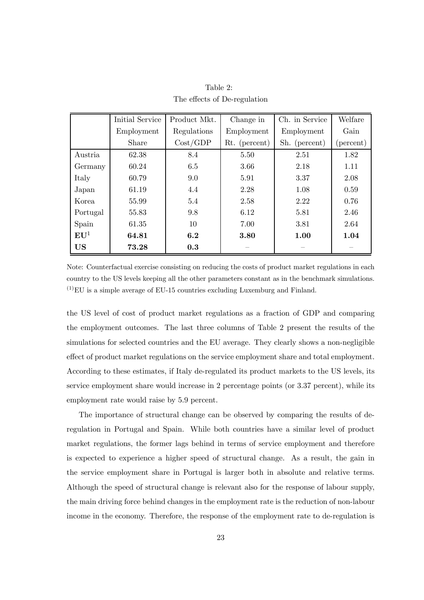|                     | Initial Service | Product Mkt. | Change in     | Ch. in Service | Welfare   |
|---------------------|-----------------|--------------|---------------|----------------|-----------|
|                     | Employment      | Regulations  | Employment    | Employment     | Gain      |
|                     | Share           | Cost/GDP     | Rt. (percent) | Sh. (percent)  | (percent) |
| Austria             | 62.38           | 8.4          | 5.50          | 2.51           | 1.82      |
| Germany             | 60.24           | 6.5          | 3.66          | 2.18           | 1.11      |
| Italy               | 60.79           | 9.0          | 5.91          | 3.37           | 2.08      |
| Japan               | 61.19           | 4.4          | 2.28          | 1.08           | 0.59      |
| Korea               | 55.99           | 5.4          | 2.58          | 2.22           | 0.76      |
| Portugal            | 55.83           | 9.8          | 6.12          | 5.81           | 2.46      |
| Spain               | 61.35           | 10           | 7.00          | 3.81           | 2.64      |
| ${\bf E} {\bf U}^1$ | 64.81           | 6.2          | 3.80          | 1.00           | 1.04      |
| <b>US</b>           | 73.28           | 0.3          |               |                |           |

Table 2: The effects of De-regulation

Note: Counterfactual exercise consisting on reducing the costs of product market regulations in each country to the US levels keeping all the other parameters constant as in the benchmark simulations.  $(1)$ EU is a simple average of EU-15 countries excluding Luxemburg and Finland.

the US level of cost of product market regulations as a fraction of GDP and comparing the employment outcomes. The last three columns of Table 2 present the results of the simulations for selected countries and the EU average. They clearly shows a non-negligible effect of product market regulations on the service employment share and total employment. According to these estimates, if Italy de-regulated its product markets to the US levels, its service employment share would increase in 2 percentage points (or 3.37 percent), while its employment rate would raise by 5.9 percent.

The importance of structural change can be observed by comparing the results of deregulation in Portugal and Spain. While both countries have a similar level of product market regulations, the former lags behind in terms of service employment and therefore is expected to experience a higher speed of structural change. As a result, the gain in the service employment share in Portugal is larger both in absolute and relative terms. Although the speed of structural change is relevant also for the response of labour supply, the main driving force behind changes in the employment rate is the reduction of non-labour income in the economy. Therefore, the response of the employment rate to de-regulation is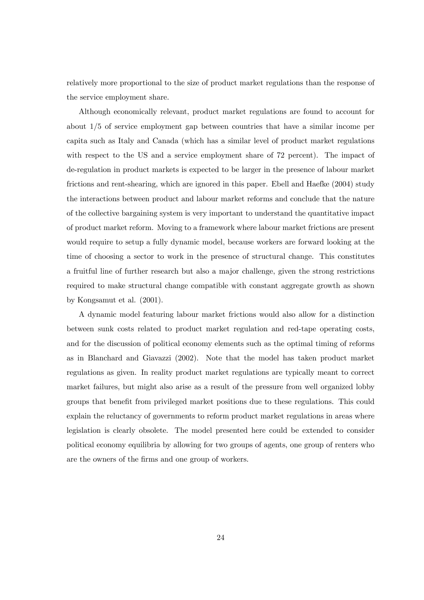relatively more proportional to the size of product market regulations than the response of the service employment share.

Although economically relevant, product market regulations are found to account for about 1/5 of service employment gap between countries that have a similar income per capita such as Italy and Canada (which has a similar level of product market regulations with respect to the US and a service employment share of 72 percent). The impact of de-regulation in product markets is expected to be larger in the presence of labour market frictions and rent-shearing, which are ignored in this paper. Ebell and Haefke (2004) study the interactions between product and labour market reforms and conclude that the nature of the collective bargaining system is very important to understand the quantitative impact of product market reform. Moving to a framework where labour market frictions are present would require to setup a fully dynamic model, because workers are forward looking at the time of choosing a sector to work in the presence of structural change. This constitutes a fruitful line of further research but also a major challenge, given the strong restrictions required to make structural change compatible with constant aggregate growth as shown by Kongsamut et al. (2001).

A dynamic model featuring labour market frictions would also allow for a distinction between sunk costs related to product market regulation and red-tape operating costs, and for the discussion of political economy elements such as the optimal timing of reforms as in Blanchard and Giavazzi (2002). Note that the model has taken product market regulations as given. In reality product market regulations are typically meant to correct market failures, but might also arise as a result of the pressure from well organized lobby groups that benefit from privileged market positions due to these regulations. This could explain the reluctancy of governments to reform product market regulations in areas where legislation is clearly obsolete. The model presented here could be extended to consider political economy equilibria by allowing for two groups of agents, one group of renters who are the owners of the firms and one group of workers.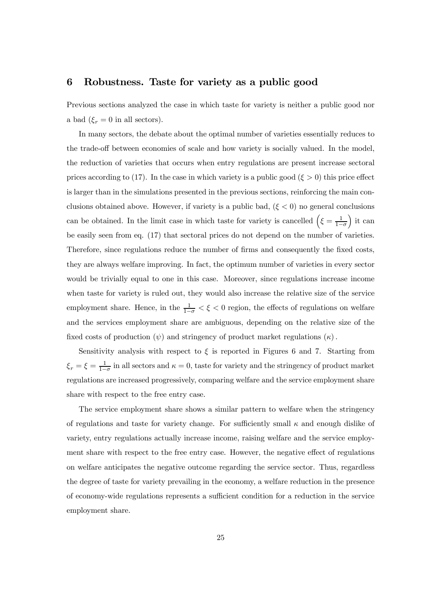# 6 Robustness. Taste for variety as a public good

Previous sections analyzed the case in which taste for variety is neither a public good nor a bad ( $\xi_r = 0$  in all sectors).

In many sectors, the debate about the optimal number of varieties essentially reduces to the trade-off between economies of scale and how variety is socially valued. In the model, the reduction of varieties that occurs when entry regulations are present increase sectoral prices according to (17). In the case in which variety is a public good ( $\xi > 0$ ) this price effect is larger than in the simulations presented in the previous sections, reinforcing the main conclusions obtained above. However, if variety is a public bad,  $(\xi < 0)$  no general conclusions can be obtained. In the limit case in which taste for variety is cancelled  $\left(\xi = \frac{1}{1-\sigma}\right)$ ) it can be easily seen from eq. (17) that sectoral prices do not depend on the number of varieties. Therefore, since regulations reduce the number of firms and consequently the fixed costs, they are always welfare improving. In fact, the optimum number of varieties in every sector would be trivially equal to one in this case. Moreover, since regulations increase income when taste for variety is ruled out, they would also increase the relative size of the service employment share. Hence, in the  $\frac{1}{1-\sigma} < \xi < 0$  region, the effects of regulations on welfare and the services employment share are ambiguous, depending on the relative size of the fixed costs of production  $(\psi)$  and stringency of product market regulations  $(\kappa)$ .

Sensitivity analysis with respect to  $\xi$  is reported in Figures 6 and 7. Starting from  $\xi_r = \xi = \frac{1}{1-\sigma}$  in all sectors and  $\kappa = 0$ , taste for variety and the stringency of product market regulations are increased progressively, comparing welfare and the service employment share share with respect to the free entry case.

The service employment share shows a similar pattern to welfare when the stringency of regulations and taste for variety change. For sufficiently small  $\kappa$  and enough dislike of variety, entry regulations actually increase income, raising welfare and the service employment share with respect to the free entry case. However, the negative effect of regulations on welfare anticipates the negative outcome regarding the service sector. Thus, regardless the degree of taste for variety prevailing in the economy, a welfare reduction in the presence of economy-wide regulations represents a sufficient condition for a reduction in the service employment share.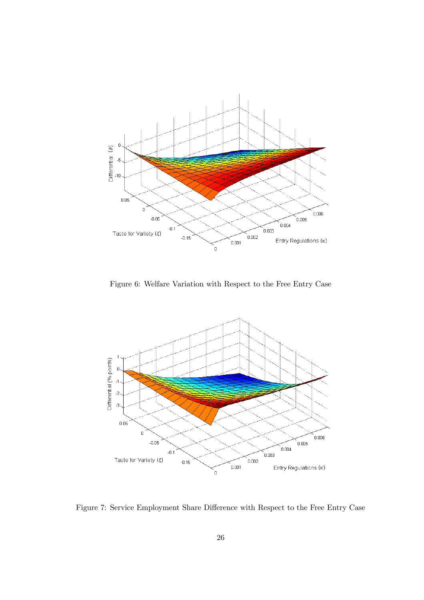

Figure 6: Welfare Variation with Respect to the Free Entry Case



Figure 7: Service Employment Share Difference with Respect to the Free Entry Case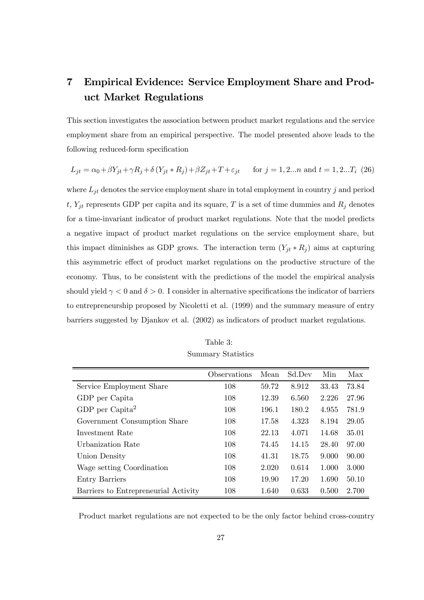# 7 Empirical Evidence: Service Employment Share and Product Market Regulations

This section investigates the association between product market regulations and the service employment share from an empirical perspective. The model presented above leads to the following reduced-form specification

$$
L_{jt} = \alpha_0 + \beta Y_{jt} + \gamma R_j + \delta (Y_{jt} * R_j) + \beta Z_{jt} + T + \varepsilon_{jt} \quad \text{for } j = 1, 2...n \text{ and } t = 1, 2...T_i \tag{26}
$$

where  $L_{jt}$  denotes the service employment share in total employment in country j and period t,  $Y_{jt}$  represents GDP per capita and its square, T is a set of time dummies and  $R_j$  denotes for a time-invariant indicator of product market regulations. Note that the model predicts a negative impact of product market regulations on the service employment share, but this impact diminishes as GDP grows. The interaction term  $(Y_{jt} * R_j)$  aims at capturing this asymmetric effect of product market regulations on the productive structure of the economy. Thus, to be consistent with the predictions of the model the empirical analysis should yield  $\gamma < 0$  and  $\delta > 0$ . I consider in alternative specifications the indicator of barriers to entrepreneurship proposed by Nicoletti et al. (1999) and the summary measure of entry barriers suggested by Djankov et al. (2002) as indicators of product market regulations.

|                                      | Observations | Mean  | Sd.Dev | Min   | Max   |
|--------------------------------------|--------------|-------|--------|-------|-------|
| Service Employment Share             | 108          | 59.72 | 8.912  | 33.43 | 73.84 |
| GDP per Capita                       | 108          | 12.39 | 6.560  | 2.226 | 27.96 |
| GDP per Capita <sup>2</sup>          | 108          | 196.1 | 180.2  | 4.955 | 781.9 |
| Government Consumption Share         | 108          | 17.58 | 4.323  | 8.194 | 29.05 |
| Investment Rate                      | 108          | 22.13 | 4.071  | 14.68 | 35.01 |
| Urbanization Rate                    | 108          | 74.45 | 14.15  | 28.40 | 97.00 |
| Union Density                        | 108          | 41.31 | 18.75  | 9.000 | 90.00 |
| Wage setting Coordination            | 108          | 2.020 | 0.614  | 1.000 | 3.000 |
| <b>Entry Barriers</b>                | 108          | 19.90 | 17.20  | 1.690 | 50.10 |
| Barriers to Entrepreneurial Activity | 108          | 1.640 | 0.633  | 0.500 | 2.700 |

Table 3: Summary Statistics

Product market regulations are not expected to be the only factor behind cross-country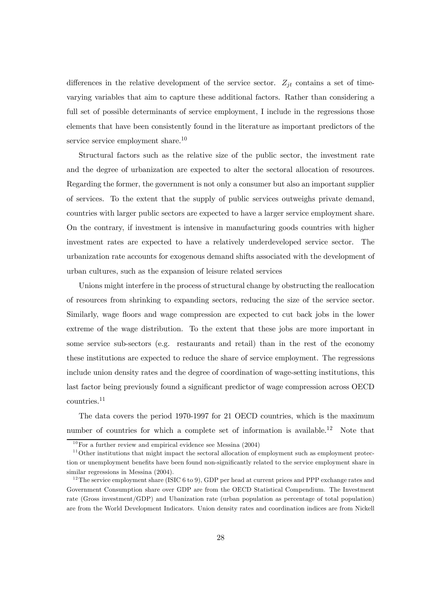differences in the relative development of the service sector.  $Z_{it}$  contains a set of timevarying variables that aim to capture these additional factors. Rather than considering a full set of possible determinants of service employment, I include in the regressions those elements that have been consistently found in the literature as important predictors of the service service employment share.<sup>10</sup>

Structural factors such as the relative size of the public sector, the investment rate and the degree of urbanization are expected to alter the sectoral allocation of resources. Regarding the former, the government is not only a consumer but also an important supplier of services. To the extent that the supply of public services outweighs private demand, countries with larger public sectors are expected to have a larger service employment share. On the contrary, if investment is intensive in manufacturing goods countries with higher investment rates are expected to have a relatively underdeveloped service sector. The urbanization rate accounts for exogenous demand shifts associated with the development of urban cultures, such as the expansion of leisure related services

Unions might interfere in the process of structural change by obstructing the reallocation of resources from shrinking to expanding sectors, reducing the size of the service sector. Similarly, wage floors and wage compression are expected to cut back jobs in the lower extreme of the wage distribution. To the extent that these jobs are more important in some service sub-sectors (e.g. restaurants and retail) than in the rest of the economy these institutions are expected to reduce the share of service employment. The regressions include union density rates and the degree of coordination of wage-setting institutions, this last factor being previously found a significant predictor of wage compression across OECD countries.<sup>11</sup>

The data covers the period 1970-1997 for 21 OECD countries, which is the maximum number of countries for which a complete set of information is available.<sup>12</sup> Note that

 $10$  For a further review and empirical evidence see Messina (2004)

 $11$ Other institutions that might impact the sectoral allocation of employment such as employment protection or unemployment benefits have been found non-significantly related to the service employment share in similar regressions in Messina (2004).

<sup>&</sup>lt;sup>12</sup>The service employment share (ISIC 6 to 9), GDP per head at current prices and PPP exchange rates and Government Consumption share over GDP are from the OECD Statistical Compendium. The Investment rate (Gross investment/GDP) and Ubanization rate (urban population as percentage of total population) are from the World Development Indicators. Union density rates and coordination indices are from Nickell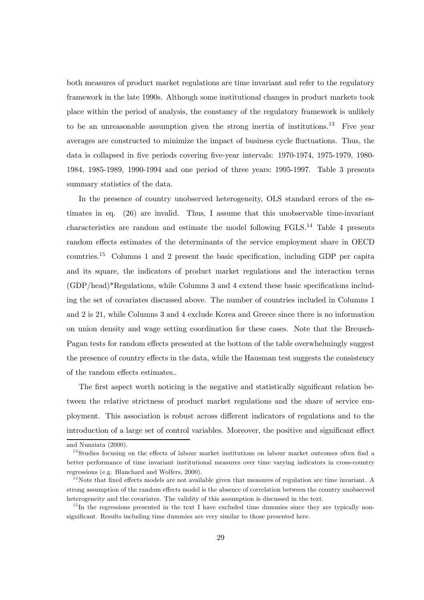both measures of product market regulations are time invariant and refer to the regulatory framework in the late 1990s. Although some institutional changes in product markets took place within the period of analysis, the constancy of the regulatory framework is unlikely to be an unreasonable assumption given the strong inertia of institutions.<sup>13</sup> Five year averages are constructed to minimize the impact of business cycle fluctuations. Thus, the data is collapsed in five periods covering five-year intervals: 1970-1974, 1975-1979, 1980- 1984, 1985-1989, 1990-1994 and one period of three years: 1995-1997. Table 3 presents summary statistics of the data.

In the presence of country unobserved heterogeneity, OLS standard errors of the estimates in eq. (26) are invalid. Thus, I assume that this unobservable time-invariant characteristics are random and estimate the model following FGLS.14 Table 4 presents random effects estimates of the determinants of the service employment share in OECD countries.<sup>15</sup> Columns 1 and 2 present the basic specification, including GDP per capita and its square, the indicators of product market regulations and the interaction terms (GDP/head)\*Regulations, while Columns 3 and 4 extend these basic specifications including the set of covariates discussed above. The number of countries included in Columns 1 and 2 is 21, while Columns 3 and 4 exclude Korea and Greece since there is no information on union density and wage setting coordination for these cases. Note that the Breusch-Pagan tests for random effects presented at the bottom of the table overwhelmingly suggest the presence of country effects in the data, while the Hausman test suggests the consistency of the random effects estimates..

The first aspect worth noticing is the negative and statistically significant relation between the relative strictness of product market regulations and the share of service employment. This association is robust across different indicators of regulations and to the introduction of a large set of control variables. Moreover, the positive and significant effect

and Nunziata (2000).

<sup>&</sup>lt;sup>13</sup> Studies focusing on the effects of labour market institutions on labour market outcomes often find a better performance of time invariant institutional measures over time varying indicators in cross-country regressions (e.g. Blanchard and Wolfers, 2000).

 $14$ Note that fixed effects models are not available given that measures of regulation are time invariant. A strong assumption of the random effects model is the absence of correlation between the country unobserved heterogeneity and the covariates. The validity of this assumption is discussed in the text.

 $15$  In the regressions presented in the text I have excluded time dummies since they are typically nonsignificant. Results including time dummies are very similar to those presented here.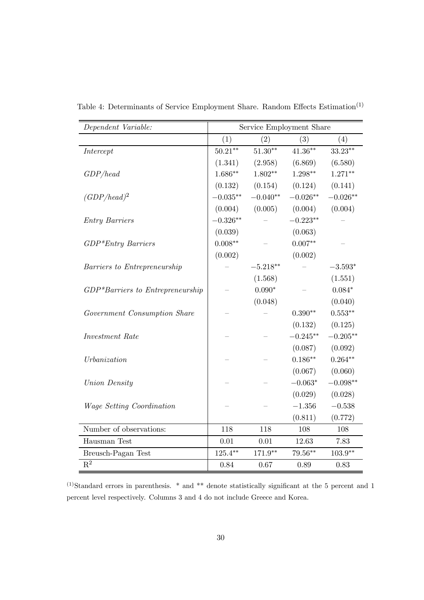| Dependent Variable:              | Service Employment Share |            |            |            |  |
|----------------------------------|--------------------------|------------|------------|------------|--|
|                                  | (1)                      | (2)        | (3)        | (4)        |  |
| Intercept                        | $50.21***$               | $51.30**$  | $41.36***$ | $33.23**$  |  |
|                                  | (1.341)                  | (2.958)    | (6.869)    | (6.580)    |  |
| GDP/head                         | $1.686**$                | $1.802**$  | $1.298**$  | $1.271**$  |  |
|                                  | (0.132)                  | (0.154)    | (0.124)    | (0.141)    |  |
| $(GDP/head)^2$                   | $-0.035***$              | $-0.040**$ | $-0.026**$ | $-0.026**$ |  |
|                                  | (0.004)                  | (0.005)    | (0.004)    | (0.004)    |  |
| <b>Entry Barriers</b>            | $-0.326**$               |            | $-0.223**$ |            |  |
|                                  | (0.039)                  |            | (0.063)    |            |  |
| $GDP*Entry\;Barriers$            | $0.008**$                |            | $0.007**$  |            |  |
|                                  | (0.002)                  |            | (0.002)    |            |  |
| Barriers to Entrepreneurship     |                          | $-5.218**$ |            | $-3.593*$  |  |
|                                  |                          | (1.568)    |            | (1.551)    |  |
| GDP*Barriers to Entrepreneurship |                          | $0.090*$   |            | $0.084*$   |  |
|                                  |                          | (0.048)    |            | (0.040)    |  |
| Government Consumption Share     |                          |            | $0.390**$  | $0.553**$  |  |
|                                  |                          |            | (0.132)    | (0.125)    |  |
| Investment Rate                  |                          |            | $-0.245**$ | $-0.205**$ |  |
|                                  |                          |            | (0.087)    | (0.092)    |  |
| Urbanization                     |                          |            | $0.186**$  | $0.264**$  |  |
|                                  |                          |            | (0.067)    | (0.060)    |  |
| Union Density                    |                          |            | $-0.063*$  | $-0.098**$ |  |
|                                  |                          |            | (0.029)    | (0.028)    |  |
| <b>Wage Setting Coordination</b> |                          |            | $-1.356$   | $-0.538$   |  |
|                                  |                          |            | (0.811)    | (0.772)    |  |
| Number of observations:          | 118                      | 118        | 108        | 108        |  |
| Hausman Test                     | 0.01                     | 0.01       | 12.63      | 7.83       |  |
| Breusch-Pagan Test               | $125.4***$               | 171.9**    | $79.56***$ | $103.9**$  |  |
| $\mathbf{R}^2$                   | 0.84                     | 0.67       | 0.89       | 0.83       |  |

Table 4: Determinants of Service Employment Share. Random Effects Estimation(1)

 $(1)$ Standard errors in parenthesis.  $*$  and  $**$  denote statistically significant at the 5 percent and 1 percent level respectively. Columns 3 and 4 do not include Greece and Korea.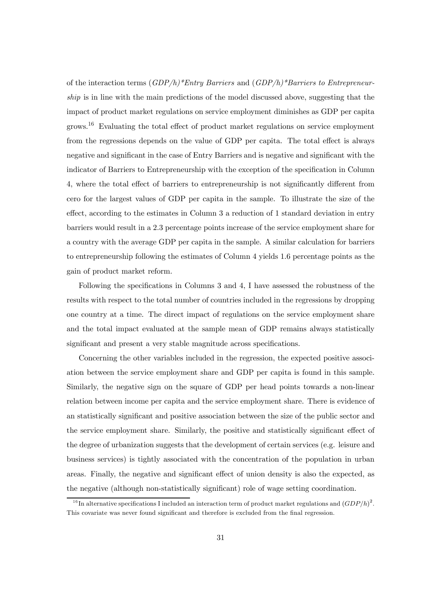of the interaction terms  $(GDP/h)$ <sup>\*</sup>Entry Barriers and  $(GDP/h)$ <sup>\*</sup>Barriers to Entrepreneurship is in line with the main predictions of the model discussed above, suggesting that the impact of product market regulations on service employment diminishes as GDP per capita grows.<sup>16</sup> Evaluating the total effect of product market regulations on service employment from the regressions depends on the value of GDP per capita. The total effect is always negative and significant in the case of Entry Barriers and is negative and significant with the indicator of Barriers to Entrepreneurship with the exception of the specification in Column 4, where the total effect of barriers to entrepreneurship is not significantly different from cero for the largest values of GDP per capita in the sample. To illustrate the size of the effect, according to the estimates in Column 3 a reduction of 1 standard deviation in entry barriers would result in a 2.3 percentage points increase of the service employment share for a country with the average GDP per capita in the sample. A similar calculation for barriers to entrepreneurship following the estimates of Column 4 yields 1.6 percentage points as the gain of product market reform.

Following the specifications in Columns 3 and 4, I have assessed the robustness of the results with respect to the total number of countries included in the regressions by dropping one country at a time. The direct impact of regulations on the service employment share and the total impact evaluated at the sample mean of GDP remains always statistically significant and present a very stable magnitude across specifications.

Concerning the other variables included in the regression, the expected positive association between the service employment share and GDP per capita is found in this sample. Similarly, the negative sign on the square of GDP per head points towards a non-linear relation between income per capita and the service employment share. There is evidence of an statistically significant and positive association between the size of the public sector and the service employment share. Similarly, the positive and statistically significant effect of the degree of urbanization suggests that the development of certain services (e.g. leisure and business services) is tightly associated with the concentration of the population in urban areas. Finally, the negative and significant effect of union density is also the expected, as the negative (although non-statistically significant) role of wage setting coordination.

<sup>&</sup>lt;sup>16</sup>In alternative specifications I included an interaction term of product market regulations and  $(GDP/h)^2$ . This covariate was never found significant and therefore is excluded from the final regression.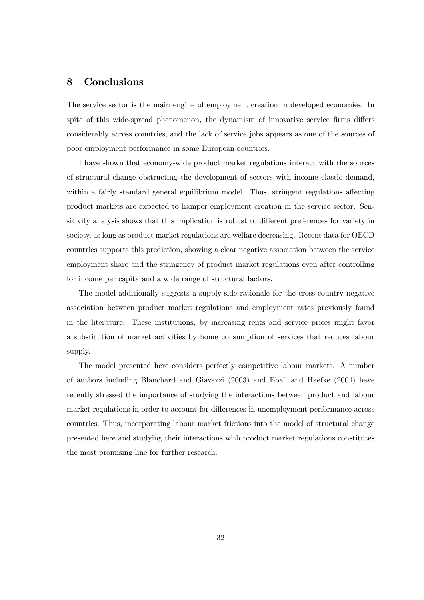# 8 Conclusions

The service sector is the main engine of employment creation in developed economies. In spite of this wide-spread phenomenon, the dynamism of innovative service firms differs considerably across countries, and the lack of service jobs appears as one of the sources of poor employment performance in some European countries.

I have shown that economy-wide product market regulations interact with the sources of structural change obstructing the development of sectors with income elastic demand, within a fairly standard general equilibrium model. Thus, stringent regulations affecting product markets are expected to hamper employment creation in the service sector. Sensitivity analysis shows that this implication is robust to different preferences for variety in society, as long as product market regulations are welfare decreasing. Recent data for OECD countries supports this prediction, showing a clear negative association between the service employment share and the stringency of product market regulations even after controlling for income per capita and a wide range of structural factors.

The model additionally suggests a supply-side rationale for the cross-country negative association between product market regulations and employment rates previously found in the literature. These institutions, by increasing rents and service prices might favor a substitution of market activities by home consumption of services that reduces labour supply.

The model presented here considers perfectly competitive labour markets. A number of authors including Blanchard and Giavazzi (2003) and Ebell and Haefke (2004) have recently stressed the importance of studying the interactions between product and labour market regulations in order to account for differences in unemployment performance across countries. Thus, incorporating labour market frictions into the model of structural change presented here and studying their interactions with product market regulations constitutes the most promising line for further research.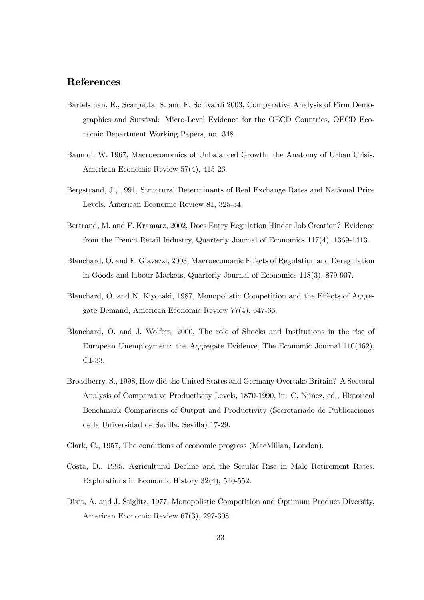# References

- Bartelsman, E., Scarpetta, S. and F. Schivardi 2003, Comparative Analysis of Firm Demographics and Survival: Micro-Level Evidence for the OECD Countries, OECD Economic Department Working Papers, no. 348.
- Baumol, W. 1967, Macroeconomics of Unbalanced Growth: the Anatomy of Urban Crisis. American Economic Review 57(4), 415-26.
- Bergstrand, J., 1991, Structural Determinants of Real Exchange Rates and National Price Levels, American Economic Review 81, 325-34.
- Bertrand, M. and F. Kramarz, 2002, Does Entry Regulation Hinder Job Creation? Evidence from the French Retail Industry, Quarterly Journal of Economics 117(4), 1369-1413.
- Blanchard, O. and F. Giavazzi, 2003, Macroeconomic Effects of Regulation and Deregulation in Goods and labour Markets, Quarterly Journal of Economics 118(3), 879-907.
- Blanchard, O. and N. Kiyotaki, 1987, Monopolistic Competition and the Effects of Aggregate Demand, American Economic Review 77(4), 647-66.
- Blanchard, O. and J. Wolfers, 2000, The role of Shocks and Institutions in the rise of European Unemployment: the Aggregate Evidence, The Economic Journal 110(462), C1-33.
- Broadberry, S., 1998, How did the United States and Germany Overtake Britain? A Sectoral Analysis of Comparative Productivity Levels, 1870-1990, in: C. Núñez, ed., Historical Benchmark Comparisons of Output and Productivity (Secretariado de Publicaciones de la Universidad de Sevilla, Sevilla) 17-29.
- Clark, C., 1957, The conditions of economic progress (MacMillan, London).
- Costa, D., 1995, Agricultural Decline and the Secular Rise in Male Retirement Rates. Explorations in Economic History 32(4), 540-552.
- Dixit, A. and J. Stiglitz, 1977, Monopolistic Competition and Optimum Product Diversity, American Economic Review 67(3), 297-308.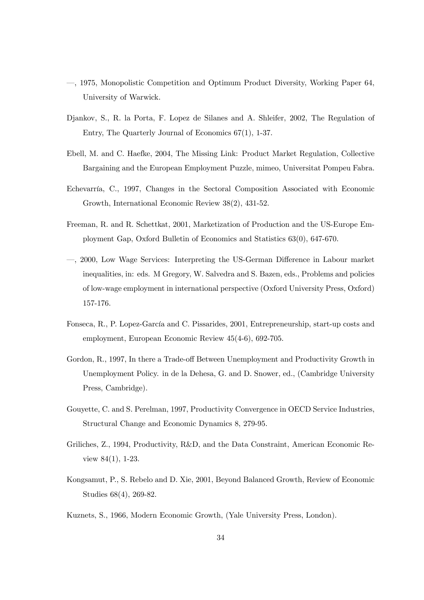- –, 1975, Monopolistic Competition and Optimum Product Diversity, Working Paper 64, University of Warwick.
- Djankov, S., R. la Porta, F. Lopez de Silanes and A. Shleifer, 2002, The Regulation of Entry, The Quarterly Journal of Economics 67(1), 1-37.
- Ebell, M. and C. Haefke, 2004, The Missing Link: Product Market Regulation, Collective Bargaining and the European Employment Puzzle, mimeo, Universitat Pompeu Fabra.
- Echevarría, C., 1997, Changes in the Sectoral Composition Associated with Economic Growth, International Economic Review 38(2), 431-52.
- Freeman, R. and R. Schettkat, 2001, Marketization of Production and the US-Europe Employment Gap, Oxford Bulletin of Economics and Statistics 63(0), 647-670.
- –, 2000, Low Wage Services: Interpreting the US-German Difference in Labour market inequalities, in: eds. M Gregory, W. Salvedra and S. Bazen, eds., Problems and policies of low-wage employment in international perspective (Oxford University Press, Oxford) 157-176.
- Fonseca, R., P. Lopez-García and C. Pissarides, 2001, Entrepreneurship, start-up costs and employment, European Economic Review 45(4-6), 692-705.
- Gordon, R., 1997, In there a Trade-off Between Unemployment and Productivity Growth in Unemployment Policy. in de la Dehesa, G. and D. Snower, ed., (Cambridge University Press, Cambridge).
- Gouyette, C. and S. Perelman, 1997, Productivity Convergence in OECD Service Industries, Structural Change and Economic Dynamics 8, 279-95.
- Griliches, Z., 1994, Productivity, R&D, and the Data Constraint, American Economic Review 84(1), 1-23.
- Kongsamut, P., S. Rebelo and D. Xie, 2001, Beyond Balanced Growth, Review of Economic Studies 68(4), 269-82.
- Kuznets, S., 1966, Modern Economic Growth, (Yale University Press, London).